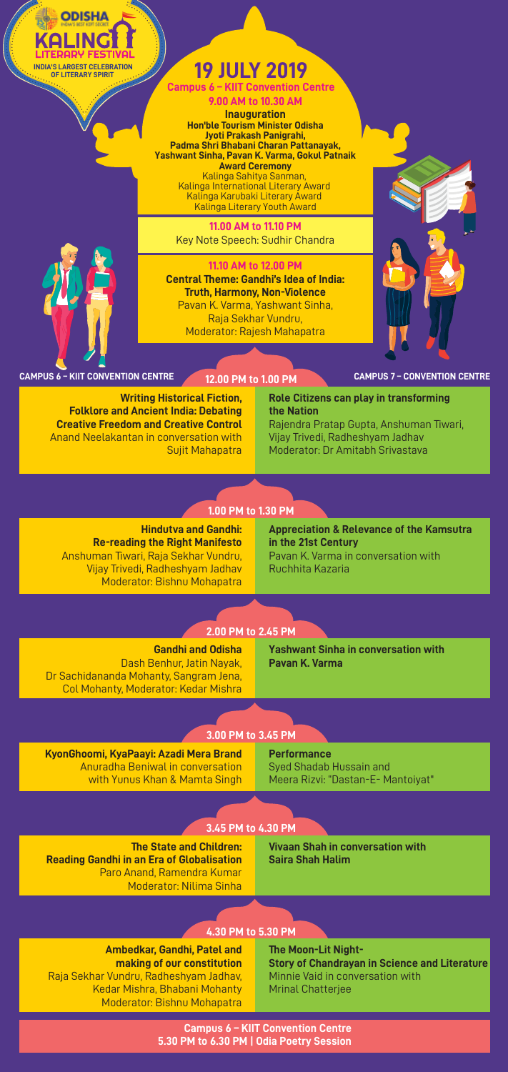

**9.00 AM to 10.30 AM Inauguration Hon'ble Tourism Minister Odisha Jyoti Prakash Panigrahi, Padma Shri Bhabani Charan Pattanayak, Yashwant Sinha, Pavan K. Varma, Gokul Patnaik Award Ceremony** Kalinga Sahitya Sanman, Kalinga International Literary Award Kalinga Karubaki Literary Award Kalinga Literary Youth Award

**11.00 AM to 11.10 PM** Key Note Speech: Sudhir Chandra

**11.10 AM to 12.00 PM**



**INDIA'S LARGEST CELEBRATION**

**ODISHA** 

**Central Theme: Gandhi's Idea of India: Truth, Harmony, Non-Violence** Pavan K. Varma, Yashwant Sinha, Raja Sekhar Vundru, Moderator: Rajesh Mahapatra

**CAMPUS 6 – KIIT CONVENTION CENTRE CAMPUS 7 – CONVENTION CENTRE**

**12.00 PM to 1.00 PM**

**Writing Historical Fiction, Folklore and Ancient India: Debating Creative Freedom and Creative Control** Anand Neelakantan in conversation with Sujit Mahapatra

**Role Citizens can play in transforming the Nation** Rajendra Pratap Gupta, Anshuman Tiwari, Vijay Trivedi, Radheshyam Jadhav Moderator: Dr Amitabh Srivastava

# **1.00 PM to 1.30 PM**

**Hindutva and Gandhi: Re-reading the Right Manifesto** Anshuman Tiwari, Raja Sekhar Vundru, Vijay Trivedi, Radheshyam Jadhav Moderator: Bishnu Mohapatra

**Appreciation & Relevance of the Kamsutra in the 21st Century** Pavan K. Varma in conversation with Ruchhita Kazaria

### **2.00 PM to 2.45 PM**

**Gandhi and Odisha** Dash Benhur, Jatin Nayak, Dr Sachidananda Mohanty, Sangram Jena, Col Mohanty, Moderator: Kedar Mishra **Yashwant Sinha in conversation with Pavan K. Varma**

### **3.00 PM to 3.45 PM**

**KyonGhoomi, KyaPaayi: Azadi Mera Brand** Anuradha Beniwal in conversation with Yunus Khan & Mamta Singh **Performance** Syed Shadab Hussain and Meera Rizvi: "Dastan-E- Mantoiyat"

## **3.45 PM to 4.30 PM**

**The State and Children: Reading Gandhi in an Era of Globalisation** Paro Anand, Ramendra Kumar Moderator: Nilima Sinha

**Vivaan Shah in conversation with Saira Shah Halim**

### **4.30 PM to 5.30 PM**

**Ambedkar, Gandhi, Patel and making of our constitution** Raja Sekhar Vundru, Radheshyam Jadhav, Kedar Mishra, Bhabani Mohanty Moderator: Bishnu Mohapatra

**The Moon-Lit Night-Story of Chandrayan in Science and Literature** Minnie Vaid in conversation with Mrinal Chatterjee

#### **Campus 6 – KIIT Convention Centre 5.30 PM to 6.30 PM | Odia Poetry Session**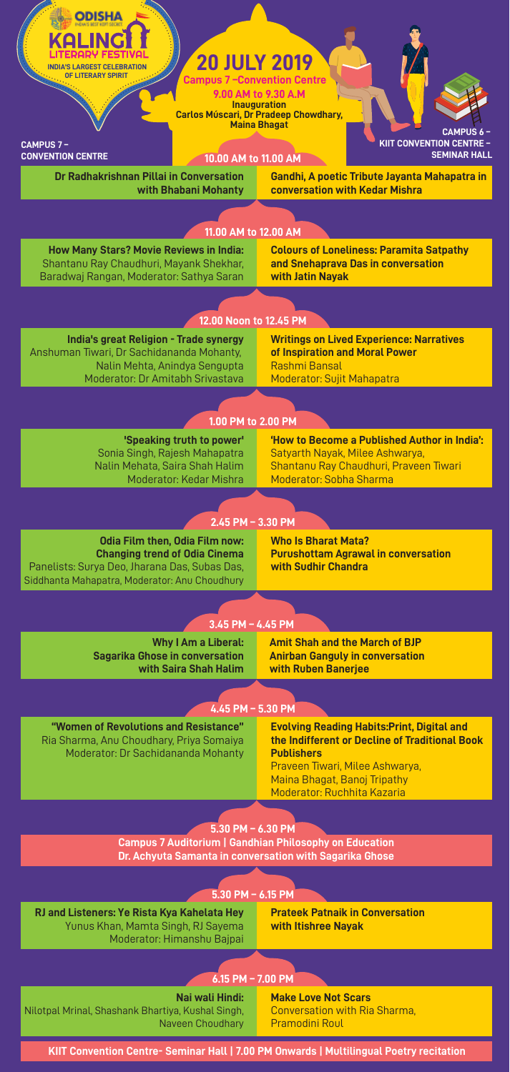

**KIIT Convention Centre- Seminar Hall | 7.00 PM Onwards | Multilingual Poetry recitation**